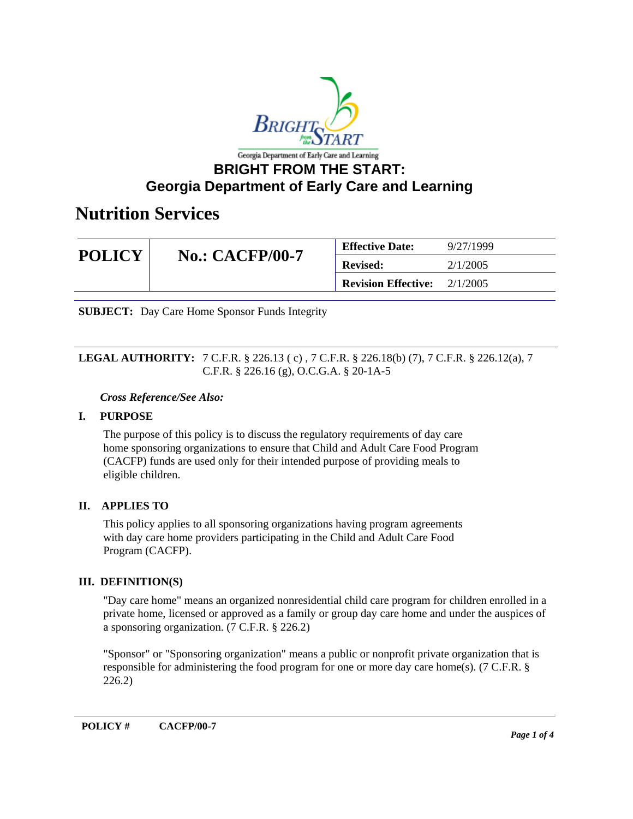

### **BRIGHT FROM THE START: Georgia Department of Early Care and Learning**

### **Nutrition Services**

| <b>POLICY</b> | <b>No.: CACFP/00-7</b> | <b>Effective Date:</b>     | 9/27/1999 |
|---------------|------------------------|----------------------------|-----------|
|               |                        | <b>Revised:</b>            | 2/1/2005  |
|               |                        | <b>Revision Effective:</b> | 2/1/2005  |

**SUBJECT:** Day Care Home Sponsor Funds Integrity

### **LEGAL AUTHORITY:** 7 C.F.R. § 226.13 ( c) , 7 C.F.R. § 226.18(b) (7), 7 C.F.R. § 226.12(a), 7 C.F.R. § 226.16 (g), O.C.G.A. § 20-1A-5

### *Cross Reference/See Also:*

### **I. PURPOSE**

The purpose of this policy is to discuss the regulatory requirements of day care home sponsoring organizations to ensure that Child and Adult Care Food Program (CACFP) funds are used only for their intended purpose of providing meals to eligible children.

### **II. APPLIES TO**

This policy applies to all sponsoring organizations having program agreements with day care home providers participating in the Child and Adult Care Food Program (CACFP).

### **III. DEFINITION(S)**

"Day care home" means an organized nonresidential child care program for children enrolled in a private home, licensed or approved as a family or group day care home and under the auspices of a sponsoring organization. (7 C.F.R. § 226.2)

"Sponsor" or "Sponsoring organization" means a public or nonprofit private organization that is responsible for administering the food program for one or more day care home(s). (7 C.F.R. § 226.2)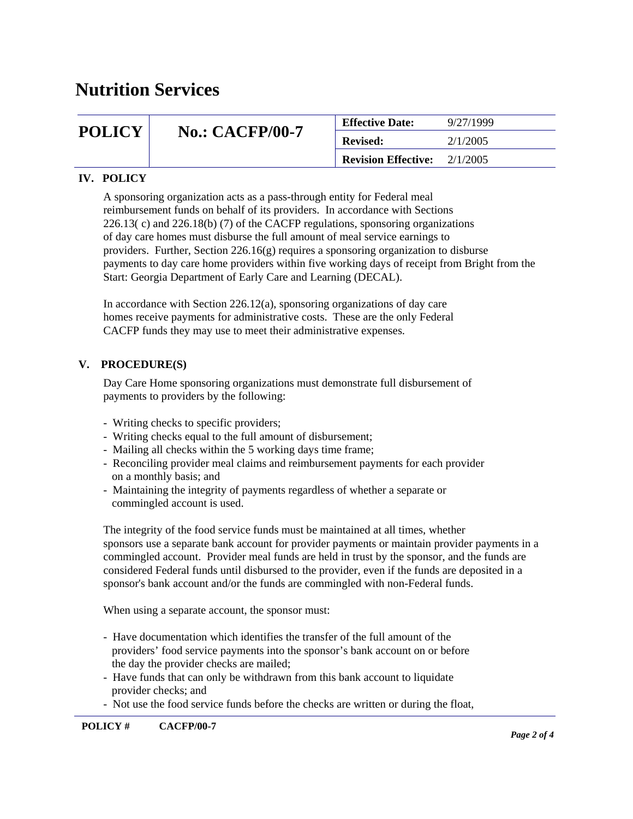### **Nutrition Services**

| <b>POLICY</b> | <b>No.: CACFP/00-7</b> | <b>Effective Date:</b>     | 9/27/1999 |
|---------------|------------------------|----------------------------|-----------|
|               |                        | <b>Revised:</b>            | 2/1/2005  |
|               |                        | <b>Revision Effective:</b> | 2/1/2005  |

### **IV. POLICY**

A sponsoring organization acts as a pass-through entity for Federal meal reimbursement funds on behalf of its providers. In accordance with Sections 226.13( c) and 226.18(b) (7) of the CACFP regulations, sponsoring organizations of day care homes must disburse the full amount of meal service earnings to providers. Further, Section 226.16(g) requires a sponsoring organization to disburse payments to day care home providers within five working days of receipt from Bright from the Start: Georgia Department of Early Care and Learning (DECAL).

In accordance with Section 226.12(a), sponsoring organizations of day care homes receive payments for administrative costs. These are the only Federal CACFP funds they may use to meet their administrative expenses.

### **V. PROCEDURE(S)**

Day Care Home sponsoring organizations must demonstrate full disbursement of payments to providers by the following:

- Writing checks to specific providers;
- Writing checks equal to the full amount of disbursement;
- Mailing all checks within the 5 working days time frame;
- Reconciling provider meal claims and reimbursement payments for each provider on a monthly basis; and
- Maintaining the integrity of payments regardless of whether a separate or commingled account is used.

The integrity of the food service funds must be maintained at all times, whether sponsors use a separate bank account for provider payments or maintain provider payments in a commingled account. Provider meal funds are held in trust by the sponsor, and the funds are considered Federal funds until disbursed to the provider, even if the funds are deposited in a sponsor's bank account and/or the funds are commingled with non-Federal funds.

When using a separate account, the sponsor must:

- Have documentation which identifies the transfer of the full amount of the providers' food service payments into the sponsor's bank account on or before the day the provider checks are mailed;
- Have funds that can only be withdrawn from this bank account to liquidate provider checks; and
- Not use the food service funds before the checks are written or during the float,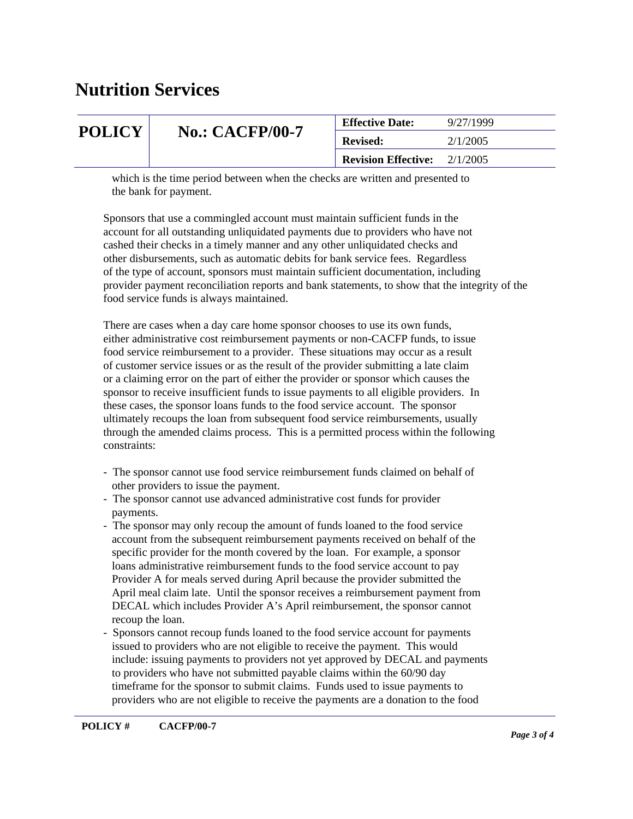## **Nutrition Services**

| <b>POLICY</b> | <b>No.: CACFP/00-7</b> | <b>Effective Date:</b>     | 9/27/1999 |
|---------------|------------------------|----------------------------|-----------|
|               |                        | <b>Revised:</b>            | 2/1/2005  |
|               |                        | <b>Revision Effective:</b> | 2/1/2005  |

 which is the time period between when the checks are written and presented to the bank for payment.

Sponsors that use a commingled account must maintain sufficient funds in the account for all outstanding unliquidated payments due to providers who have not cashed their checks in a timely manner and any other unliquidated checks and other disbursements, such as automatic debits for bank service fees. Regardless of the type of account, sponsors must maintain sufficient documentation, including provider payment reconciliation reports and bank statements, to show that the integrity of the food service funds is always maintained.

There are cases when a day care home sponsor chooses to use its own funds, either administrative cost reimbursement payments or non-CACFP funds, to issue food service reimbursement to a provider. These situations may occur as a result of customer service issues or as the result of the provider submitting a late claim or a claiming error on the part of either the provider or sponsor which causes the sponsor to receive insufficient funds to issue payments to all eligible providers. In these cases, the sponsor loans funds to the food service account. The sponsor ultimately recoups the loan from subsequent food service reimbursements, usually through the amended claims process. This is a permitted process within the following constraints:

- The sponsor cannot use food service reimbursement funds claimed on behalf of other providers to issue the payment.
- The sponsor cannot use advanced administrative cost funds for provider payments.
- The sponsor may only recoup the amount of funds loaned to the food service account from the subsequent reimbursement payments received on behalf of the specific provider for the month covered by the loan. For example, a sponsor loans administrative reimbursement funds to the food service account to pay Provider A for meals served during April because the provider submitted the April meal claim late. Until the sponsor receives a reimbursement payment from DECAL which includes Provider A's April reimbursement, the sponsor cannot recoup the loan.
- Sponsors cannot recoup funds loaned to the food service account for payments issued to providers who are not eligible to receive the payment. This would include: issuing payments to providers not yet approved by DECAL and payments to providers who have not submitted payable claims within the 60/90 day timeframe for the sponsor to submit claims. Funds used to issue payments to providers who are not eligible to receive the payments are a donation to the food